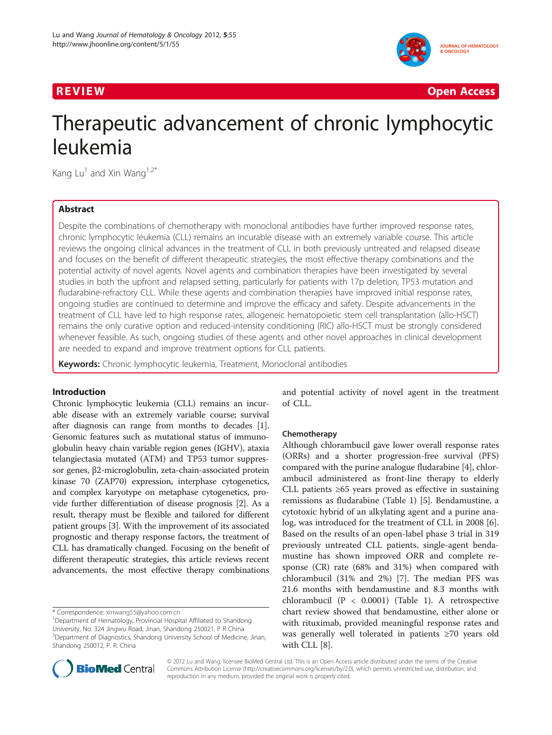

**REVIEW CONSUMING THE CONSUMING OPEN ACCESS** 

# Therapeutic advancement of chronic lymphocytic leukemia

Kang Lu<sup>1</sup> and Xin Wang<sup>1,2\*</sup>

# Abstract

Despite the combinations of chemotherapy with monoclonal antibodies have further improved response rates, chronic lymphocytic leukemia (CLL) remains an incurable disease with an extremely variable course. This article reviews the ongoing clinical advances in the treatment of CLL in both previously untreated and relapsed disease and focuses on the benefit of different therapeutic strategies, the most effective therapy combinations and the potential activity of novel agents. Novel agents and combination therapies have been investigated by several studies in both the upfront and relapsed setting, particularly for patients with 17p deletion, TP53 mutation and fludarabine-refractory CLL. While these agents and combination therapies have improved initial response rates, ongoing studies are continued to determine and improve the efficacy and safety. Despite advancements in the treatment of CLL have led to high response rates, allogeneic hematopoietic stem cell transplantation (allo-HSCT) remains the only curative option and reduced-intensity conditioning (RIC) allo-HSCT must be strongly considered whenever feasible. As such, ongoing studies of these agents and other novel approaches in clinical development are needed to expand and improve treatment options for CLL patients.

Keywords: Chronic lymphocytic leukemia, Treatment, Monoclonal antibodies

# Introduction

Chronic lymphocytic leukemia (CLL) remains an incurable disease with an extremely variable course; survival after diagnosis can range from months to decades [[1](#page-7-0)]. Genomic features such as mutational status of immunoglobulin heavy chain variable region genes (IGHV), ataxia telangiectasia mutated (ATM) and TP53 tumor suppressor genes, β2-microglobulin, zeta-chain-associated protein kinase 70 (ZAP70) expression, interphase cytogenetics, and complex karyotype on metaphase cytogenetics, provide further differentiation of disease prognosis [[2\]](#page-7-0). As a result, therapy must be flexible and tailored for different patient groups [\[3\]](#page-7-0). With the improvement of its associated prognostic and therapy response factors, the treatment of CLL has dramatically changed. Focusing on the benefit of different therapeutic strategies, this article reviews recent advancements, the most effective therapy combinations

\* Correspondence: [xinwang55@yahoo.com.cn](mailto:xinwang55@yahoo.com.cn) <sup>1</sup>

and potential activity of novel agent in the treatment of CLL.

# Chemotherapy

Although chlorambucil gave lower overall response rates (ORRs) and a shorter progression-free survival (PFS) compared with the purine analogue fludarabine [[4](#page-7-0)], chlorambucil administered as front-line therapy to elderly CLL patients ≥65 years proved as effective in sustaining remissions as fludarabine (Table [1\)](#page-1-0) [[5](#page-7-0)]. Bendamustine, a cytotoxic hybrid of an alkylating agent and a purine analog, was introduced for the treatment of CLL in 2008 [\[6](#page-7-0)]. Based on the results of an open-label phase 3 trial in 319 previously untreated CLL patients, single-agent bendamustine has shown improved ORR and complete response (CR) rate (68% and 31%) when compared with chlorambucil (31% and 2%) [\[7](#page-7-0)]. The median PFS was 21.6 months with bendamustine and 8.3 months with chlorambucil (P < 0.0001) (Table [1\)](#page-1-0). A retrospective chart review showed that bendamustine, either alone or with rituximab, provided meaningful response rates and was generally well tolerated in patients ≥70 years old with CLL [[8\]](#page-7-0).



© 2012 Lu and Wang; licensee BioMed Central Ltd. This is an Open Access article distributed under the terms of the Creative Commons Attribution License [\(http://creativecommons.org/licenses/by/2.0\)](http://creativecommons.org/licenses/by/2.0), which permits unrestricted use, distribution, and reproduction in any medium, provided the original work is properly cited.

Department of Hematology, Provincial Hospital Affiliated to Shandong University, No. 324 Jingwu Road, Jinan, Shandong 250021, P R China <sup>2</sup>Department of Diagnostics, Shandong University School of Medicine, Jinan, Shandong 250012, P. R. China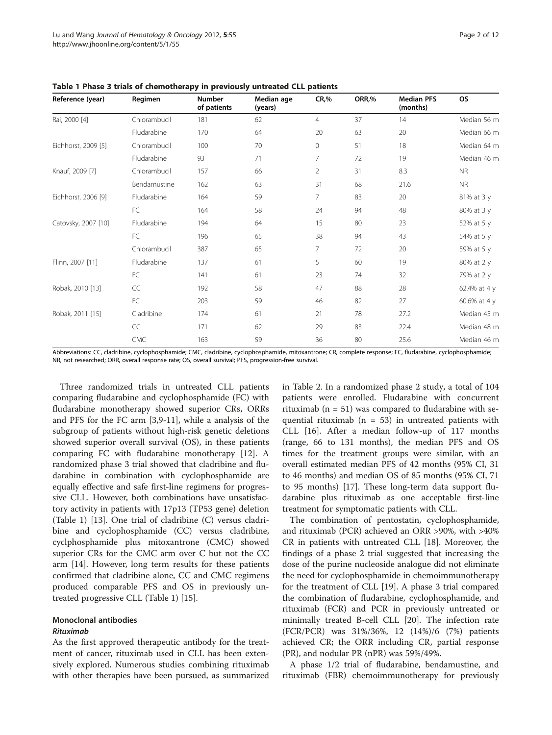| Reference (year)    | Regimen      | <b>Number</b><br>of patients | Median age<br>(years) | CR, %          | ORR,% | <b>Median PFS</b><br>(months) | <b>OS</b>    |
|---------------------|--------------|------------------------------|-----------------------|----------------|-------|-------------------------------|--------------|
| Rai, 2000 [4]       | Chlorambucil | 181                          | 62                    | $\overline{4}$ | 37    | 14                            | Median 56 m  |
|                     | Fludarabine  | 170                          | 64                    | 20             | 63    | 20                            | Median 66 m  |
| Eichhorst, 2009 [5] | Chlorambucil | 100                          | 70                    | 0              | 51    | 18                            | Median 64 m  |
|                     | Fludarabine  | 93                           | 71                    | 7              | 72    | 19                            | Median 46 m  |
| Knauf, 2009 [7]     | Chlorambucil | 157                          | 66                    | $\overline{2}$ | 31    | 8.3                           | <b>NR</b>    |
|                     | Bendamustine | 162                          | 63                    | 31             | 68    | 21.6                          | <b>NR</b>    |
| Eichhorst, 2006 [9] | Fludarabine  | 164                          | 59                    | 7              | 83    | 20                            | 81% at 3 y   |
|                     | FC           | 164                          | 58                    | 24             | 94    | 48                            | 80% at 3 y   |
| Catovsky, 2007 [10] | Fludarabine  | 194                          | 64                    | 15             | 80    | 23                            | 52% at 5 y   |
|                     | FC           | 196                          | 65                    | 38             | 94    | 43                            | 54% at 5 y   |
|                     | Chlorambucil | 387                          | 65                    | 7              | 72    | 20                            | 59% at 5 y   |
| Flinn, 2007 [11]    | Fludarabine  | 137                          | 61                    | 5              | 60    | 19                            | 80% at 2 y   |
|                     | FC           | 141                          | 61                    | 23             | 74    | 32                            | 79% at 2 y   |
| Robak, 2010 [13]    | CC           | 192                          | 58                    | 47             | 88    | 28                            | 62.4% at 4 y |
|                     | FC           | 203                          | 59                    | 46             | 82    | 27                            | 60.6% at 4 y |
| Robak, 2011 [15]    | Cladribine   | 174                          | 61                    | 21             | 78    | 27.2                          | Median 45 m  |
|                     | CC           | 171                          | 62                    | 29             | 83    | 22.4                          | Median 48 m  |
|                     | CMC          | 163                          | 59                    | 36             | 80    | 25.6                          | Median 46 m  |

<span id="page-1-0"></span>Table 1 Phase 3 trials of chemotherapy in previously untreated CLL patients

Abbreviations: CC, cladribine, cyclophosphamide; CMC, cladribine, cyclophosphamide, mitoxantrone; CR, complete response; FC, fludarabine, cyclophosphamide; NR, not researched; ORR, overall response rate; OS, overall survival; PFS, progression-free survival.

Three randomized trials in untreated CLL patients comparing fludarabine and cyclophosphamide (FC) with fludarabine monotherapy showed superior CRs, ORRs and PFS for the FC arm [\[3,9](#page-7-0)-[11](#page-7-0)], while a analysis of the subgroup of patients without high-risk genetic deletions showed superior overall survival (OS), in these patients comparing FC with fludarabine monotherapy [[12](#page-7-0)]. A randomized phase 3 trial showed that cladribine and fludarabine in combination with cyclophosphamide are equally effective and safe first-line regimens for progressive CLL. However, both combinations have unsatisfactory activity in patients with 17p13 (TP53 gene) deletion (Table 1) [\[13\]](#page-7-0). One trial of cladribine (C) versus cladribine and cyclophosphamide (CC) versus cladribine, cyclphosphamide plus mitoxantrone (CMC) showed superior CRs for the CMC arm over C but not the CC arm [\[14\]](#page-7-0). However, long term results for these patients confirmed that cladribine alone, CC and CMC regimens produced comparable PFS and OS in previously untreated progressive CLL (Table 1) [\[15](#page-7-0)].

# Monoclonal antibodies

# Rituximab

As the first approved therapeutic antibody for the treatment of cancer, rituximab used in CLL has been extensively explored. Numerous studies combining rituximab with other therapies have been pursued, as summarized in Table [2.](#page-2-0) In a randomized phase 2 study, a total of 104 patients were enrolled. Fludarabine with concurrent rituximab ( $n = 51$ ) was compared to fludarabine with sequential rituximab ( $n = 53$ ) in untreated patients with CLL [[16\]](#page-8-0). After a median follow-up of 117 months (range, 66 to 131 months), the median PFS and OS times for the treatment groups were similar, with an overall estimated median PFS of 42 months (95% CI, 31 to 46 months) and median OS of 85 months (95% CI, 71 to 95 months) [\[17](#page-8-0)]. These long-term data support fludarabine plus rituximab as one acceptable first-line treatment for symptomatic patients with CLL.

The combination of pentostatin, cyclophosphamide, and rituximab (PCR) achieved an ORR >90%, with >40% CR in patients with untreated CLL [[18\]](#page-8-0). Moreover, the findings of a phase 2 trial suggested that increasing the dose of the purine nucleoside analogue did not eliminate the need for cyclophosphamide in chemoimmunotherapy for the treatment of CLL [[19\]](#page-8-0). A phase 3 trial compared the combination of fludarabine, cyclophosphamide, and rituximab (FCR) and PCR in previously untreated or minimally treated B-cell CLL [[20](#page-8-0)]. The infection rate (FCR/PCR) was 31%/36%, 12 (14%)/6 (7%) patients achieved CR; the ORR including CR, partial response (PR), and nodular PR (nPR) was 59%/49%.

A phase 1/2 trial of fludarabine, bendamustine, and rituximab (FBR) chemoimmunotherapy for previously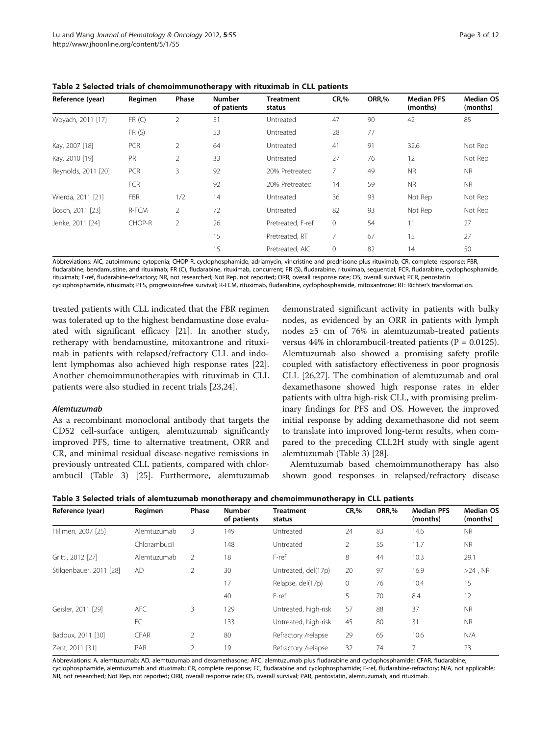| Reference (year)    | Regimen    | Phase          | <b>Number</b><br>of patients | <b>Treatment</b><br>status | <b>CR,%</b> | ORR.% | <b>Median PFS</b><br>(months) | <b>Median OS</b><br>(months) |
|---------------------|------------|----------------|------------------------------|----------------------------|-------------|-------|-------------------------------|------------------------------|
| Woyach, 2011 [17]   | FR(C)      | 2              | 51                           | Untreated                  | 47          | 90    | 42                            | 85                           |
|                     | FR(S)      |                | 53                           | Untreated                  | 28          | 77    |                               |                              |
| Kay, 2007 [18]      | PCR        | $\overline{2}$ | 64                           | Untreated                  | 41          | 91    | 32.6                          | Not Rep                      |
| Kay, 2010 [19]      | <b>PR</b>  | 2              | 33                           | Untreated                  | 27          | 76    | 12                            | Not Rep                      |
| Reynolds, 2011 [20] | PCR        | 3              | 92                           | 20% Pretreated             | 7           | 49    | <b>NR</b>                     | NR.                          |
|                     | <b>FCR</b> |                | 92                           | 20% Pretreated             | 14          | 59    | <b>NR</b>                     | NR.                          |
| Wierda, 2011 [21]   | <b>FBR</b> | 1/2            | 14                           | Untreated                  | 36          | 93    | Not Rep                       | Not Rep                      |
| Bosch, 2011 [23]    | R-FCM      | 2              | 72                           | Untreated                  | 82          | 93    | Not Rep                       | Not Rep                      |
| Jenke, 2011 [24]    | CHOP-R     | 2              | 26                           | Pretreated, F-ref          | $\Omega$    | 54    | 11                            | 27                           |
|                     |            |                | 15                           | Pretreated, RT             |             | 67    | 15                            | 27                           |
|                     |            |                | 15                           | Pretreated, AIC            | 0           | 82    | 14                            | 50                           |

<span id="page-2-0"></span>Table 2 Selected trials of chemoimmunotherapy with rituximab in CLL patients

Abbreviations: AIC, autoimmune cytopenia; CHOP-R, cyclophosphamide, adriamycin, vincristine and prednisone plus rituximab; CR, complete response; FBR, fludarabine, bendamustine, and rituximab; FR (C), fludarabine, rituximab, concurrent; FR (S), fludarabine, rituximab, sequential; FCR, fludarabine, cyclophosphamide, rituximab; F-ref, fludarabine-refractory; NR, not researched; Not Rep, not reported; ORR, overall response rate; OS, overall survival; PCR, penostatin cyclophosphamide, rituximab; PFS, progression-free survival; R-FCM, rituximab, fludarabine, cyclophosphamide, mitoxantrone; RT: Richter's transformation.

treated patients with CLL indicated that the FBR regimen was tolerated up to the highest bendamustine dose evaluated with significant efficacy [\[21](#page-8-0)]. In another study, retherapy with bendamustine, mitoxantrone and rituximab in patients with relapsed/refractory CLL and indolent lymphomas also achieved high response rates [\[22](#page-8-0)]. Another chemoimmunotherapies with rituximab in CLL patients were also studied in recent trials [\[23,24\]](#page-8-0).

# Alemtuzumab

As a recombinant monoclonal antibody that targets the CD52 cell-surface antigen, alemtuzumab significantly improved PFS, time to alternative treatment, ORR and CR, and minimal residual disease-negative remissions in previously untreated CLL patients, compared with chlorambucil (Table 3) [[25\]](#page-8-0). Furthermore, alemtuzumab

demonstrated significant activity in patients with bulky nodes, as evidenced by an ORR in patients with lymph nodes ≥5 cm of 76% in alemtuzumab-treated patients versus 44% in chlorambucil-treated patients ( $P = 0.0125$ ). Alemtuzumab also showed a promising safety profile coupled with satisfactory effectiveness in poor prognosis CLL [\[26,27\]](#page-8-0). The combination of alemtuzumab and oral dexamethasone showed high response rates in elder patients with ultra high-risk CLL, with promising preliminary findings for PFS and OS. However, the improved initial response by adding dexamethasone did not seem to translate into improved long-term results, when compared to the preceding CLL2H study with single agent alemtuzumab (Table 3) [[28](#page-8-0)].

Alemtuzumab based chemoimmunotherapy has also shown good responses in relapsed/refractory disease

| Reference (year)        | Regimen      | Phase          | <b>Number</b><br>of patients | <b>Treatment</b><br>status | CR, %          | ORR,% | <b>Median PFS</b><br>(months) | <b>Median OS</b><br>(months) |
|-------------------------|--------------|----------------|------------------------------|----------------------------|----------------|-------|-------------------------------|------------------------------|
| Hillmen, 2007 [25]      | Alemtuzumab  | 3              | 149                          | Untreated                  | 24             | 83    | 14.6                          | <b>NR</b>                    |
|                         | Chlorambucil |                | 148                          | Untreated                  | $\overline{2}$ | 55    | 11.7                          | NR.                          |
| Gritti, 2012 [27]       | Alemtuzumab  | 2              | 18                           | F-ref                      |                | 44    | 10.3                          | 29.1                         |
| Stilgenbauer, 2011 [28] | AD           | $\overline{2}$ | 30                           | Untreated, del(17p)        | 20             | 97    | 16.9                          | $>24$ , NR                   |
|                         |              |                | 17                           | Relapse, del(17p)          | 0              | 76    | 10.4                          | 15                           |
|                         |              |                | 40                           | F-ref                      | 5              | 70    | 8.4                           | 12                           |
| Geisler, 2011 [29]      | <b>AFC</b>   | 3              | 129                          | Untreated, high-risk       | 57             | 88    | 37                            | <b>NR</b>                    |
|                         | FC           |                | 133                          | Untreated, high-risk       | 45             | 80    | 31                            | NR.                          |
| Badoux, 2011 [30]       | CFAR         | 2              | 80                           | Refractory /relapse        | 29             | 65    | 10.6                          | N/A                          |
| Zent, 2011 [31]         | PAR          | $\overline{2}$ | 19                           | Refractory /relapse        | 32             | 74    | $\overline{7}$                | 23                           |

Table 3 Selected trials of alemtuzumab monotherapy and chemoimmunotherapy in CLL patients

Abbreviations: A, alemtuzumab; AD, alemtuzumab and dexamethasone; AFC, alemtuzumab plus fludarabine and cyclophosphamide; CFAR, fludarabine, cyclophosphamide, alemtuzumab and rituximab; CR, complete response; FC, fludarabine and cyclophosphamide; F-ref, fludarabine-refractory; N/A, not applicable; NR, not researched; Not Rep, not reported; ORR, overall response rate; OS, overall survival; PAR, pentostatin, alemtuzumab, and rituximab.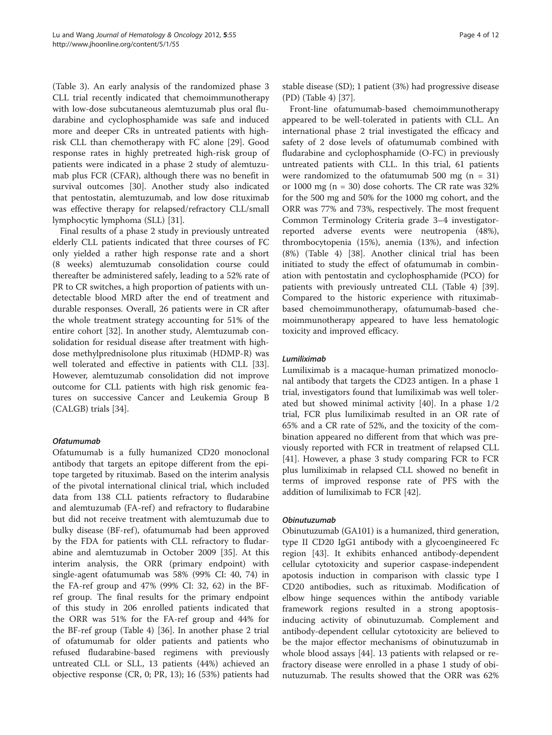(Table [3](#page-2-0)). An early analysis of the randomized phase 3 CLL trial recently indicated that chemoimmunotherapy with low-dose subcutaneous alemtuzumab plus oral fludarabine and cyclophosphamide was safe and induced more and deeper CRs in untreated patients with highrisk CLL than chemotherapy with FC alone [[29](#page-8-0)]. Good response rates in highly pretreated high-risk group of patients were indicated in a phase 2 study of alemtuzumab plus FCR (CFAR), although there was no benefit in survival outcomes [[30\]](#page-8-0). Another study also indicated that pentostatin, alemtuzumab, and low dose rituximab was effective therapy for relapsed/refractory CLL/small lymphocytic lymphoma (SLL) [\[31\]](#page-8-0).

Final results of a phase 2 study in previously untreated elderly CLL patients indicated that three courses of FC only yielded a rather high response rate and a short (8 weeks) alemtuzumab consolidation course could thereafter be administered safely, leading to a 52% rate of PR to CR switches, a high proportion of patients with undetectable blood MRD after the end of treatment and durable responses. Overall, 26 patients were in CR after the whole treatment strategy accounting for 51% of the entire cohort [\[32](#page-8-0)]. In another study, Alemtuzumab consolidation for residual disease after treatment with highdose methylprednisolone plus rituximab (HDMP-R) was well tolerated and effective in patients with CLL [\[33](#page-8-0)]. However, alemtuzumab consolidation did not improve outcome for CLL patients with high risk genomic features on successive Cancer and Leukemia Group B (CALGB) trials [\[34\]](#page-8-0).

# Ofatumumab

Ofatumumab is a fully humanized CD20 monoclonal antibody that targets an epitope different from the epitope targeted by rituximab. Based on the interim analysis of the pivotal international clinical trial, which included data from 138 CLL patients refractory to fludarabine and alemtuzumab (FA-ref) and refractory to fludarabine but did not receive treatment with alemtuzumab due to bulky disease (BF-ref ), ofatumumab had been approved by the FDA for patients with CLL refractory to fludarabine and alemtuzumab in October 2009 [\[35\]](#page-8-0). At this interim analysis, the ORR (primary endpoint) with single-agent ofatumumab was 58% (99% CI: 40, 74) in the FA-ref group and 47% (99% CI: 32, 62) in the BFref group. The final results for the primary endpoint of this study in 206 enrolled patients indicated that the ORR was 51% for the FA-ref group and 44% for the BF-ref group (Table [4](#page-4-0)) [\[36\]](#page-8-0). In another phase 2 trial of ofatumumab for older patients and patients who refused fludarabine-based regimens with previously untreated CLL or SLL, 13 patients (44%) achieved an objective response (CR, 0; PR, 13); 16 (53%) patients had stable disease (SD); 1 patient (3%) had progressive disease (PD) (Table [4](#page-4-0)) [\[37](#page-8-0)].

Front-line ofatumumab-based chemoimmunotherapy appeared to be well-tolerated in patients with CLL. An international phase 2 trial investigated the efficacy and safety of 2 dose levels of ofatumumab combined with fludarabine and cyclophosphamide (O-FC) in previously untreated patients with CLL. In this trial, 61 patients were randomized to the ofatumumab 500 mg  $(n = 31)$ or 1000 mg ( $n = 30$ ) dose cohorts. The CR rate was 32% for the 500 mg and 50% for the 1000 mg cohort, and the ORR was 77% and 73%, respectively. The most frequent Common Terminology Criteria grade 3–4 investigatorreported adverse events were neutropenia (48%), thrombocytopenia (15%), anemia (13%), and infection (8%) (Table [4](#page-4-0)) [[38\]](#page-8-0). Another clinical trial has been initiated to study the effect of ofatumumab in combination with pentostatin and cyclophosphamide (PCO) for patients with previously untreated CLL (Table [4](#page-4-0)) [\[39](#page-8-0)]. Compared to the historic experience with rituximabbased chemoimmunotherapy, ofatumumab-based chemoimmunotherapy appeared to have less hematologic toxicity and improved efficacy.

# Lumiliximab

Lumiliximab is a macaque-human primatized monoclonal antibody that targets the CD23 antigen. In a phase 1 trial, investigators found that lumiliximab was well tolerated but showed minimal activity [\[40](#page-8-0)]. In a phase 1/2 trial, FCR plus lumiliximab resulted in an OR rate of 65% and a CR rate of 52%, and the toxicity of the combination appeared no different from that which was previously reported with FCR in treatment of relapsed CLL [[41\]](#page-8-0). However, a phase 3 study comparing FCR to FCR plus lumiliximab in relapsed CLL showed no benefit in terms of improved response rate of PFS with the addition of lumiliximab to FCR [\[42\]](#page-8-0).

# Obinutuzumab

Obinutuzumab (GA101) is a humanized, third generation, type II CD20 IgG1 antibody with a glycoengineered Fc region [[43\]](#page-8-0). It exhibits enhanced antibody-dependent cellular cytotoxicity and superior caspase-independent apotosis induction in comparison with classic type I CD20 antibodies, such as rituximab. Modification of elbow hinge sequences within the antibody variable framework regions resulted in a strong apoptosisinducing activity of obinutuzumab. Complement and antibody-dependent cellular cytotoxicity are believed to be the major effector mechanisms of obinutuzumab in whole blood assays [[44\]](#page-9-0). 13 patients with relapsed or refractory disease were enrolled in a phase 1 study of obinutuzumab. The results showed that the ORR was 62%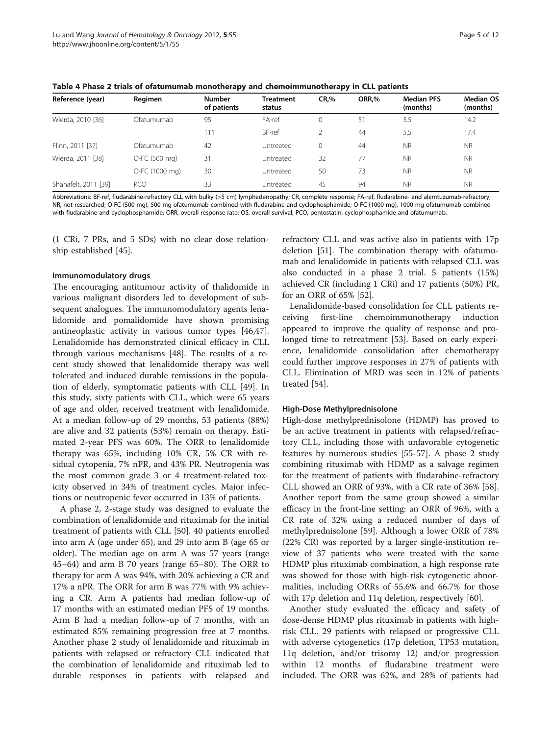<span id="page-4-0"></span>Table 4 Phase 2 trials of ofatumumab monotherapy and chemoimmunotherapy in CLL patients

| Reference (year)     | Regimen        | <b>Number</b><br>of patients | <b>Treatment</b><br>status | CR, %    | ORR,% | <b>Median PFS</b><br>(months) | <b>Median OS</b><br>(months) |
|----------------------|----------------|------------------------------|----------------------------|----------|-------|-------------------------------|------------------------------|
| Wierda, 2010 [36]    | Ofatumumab     | 95                           | FA-ref                     | $\Omega$ | 51    | 5.5                           | 14.2                         |
|                      |                | 111                          | BF-ref                     |          | 44    | 5.5                           | 17.4                         |
| Flinn, 2011 [37]     | Ofatumumab     | 42                           | Untreated                  |          | 44    | <b>NR</b>                     | <b>NR</b>                    |
| Wierda, 2011 [38]    | O-FC (500 mg)  | 31                           | Untreated                  | 32       | 77    | <b>NR</b>                     | <b>NR</b>                    |
|                      | O-FC (1000 mg) | 30                           | Untreated                  | 50       | 73    | <b>NR</b>                     | <b>NR</b>                    |
| Shanafelt, 2011 [39] | <b>PCO</b>     | 33                           | Untreated                  | 45       | 94    | <b>NR</b>                     | <b>NR</b>                    |

Abbreviations: BF-ref, fludarabine-refractory CLL with bulky (>5 cm) lymphadenopathy; CR, complete response; FA-ref, fludarabine- and alemtuzumab-refractory; NR, not researched; O-FC (500 mg), 500 mg ofatumumab combined with fludarabine and cyclophosphamide; O-FC (1000 mg), 1000 mg ofatumumab combined with fludarabine and cyclophosphamide; ORR, overall response rate; OS, overall survival; PCO, pentostatin, cyclophosphamide and ofatumumab.

(1 CRi, 7 PRs, and 5 SDs) with no clear dose relationship established [[45\]](#page-9-0).

# Immunomodulatory drugs

The encouraging antitumour activity of thalidomide in various malignant disorders led to development of subsequent analogues. The immunomodulatory agents lenalidomide and pomalidomide have shown promising antineoplastic activity in various tumor types [\[46,47](#page-9-0)]. Lenalidomide has demonstrated clinical efficacy in CLL through various mechanisms [[48\]](#page-9-0). The results of a recent study showed that lenalidomide therapy was well tolerated and induced durable remissions in the population of elderly, symptomatic patients with CLL [[49](#page-9-0)]. In this study, sixty patients with CLL, which were 65 years of age and older, received treatment with lenalidomide. At a median follow-up of 29 months, 53 patients (88%) are alive and 32 patients (53%) remain on therapy. Estimated 2-year PFS was 60%. The ORR to lenalidomide therapy was 65%, including 10% CR, 5% CR with residual cytopenia, 7% nPR, and 43% PR. Neutropenia was the most common grade 3 or 4 treatment-related toxicity observed in 34% of treatment cycles. Major infections or neutropenic fever occurred in 13% of patients.

A phase 2, 2-stage study was designed to evaluate the combination of lenalidomide and rituximab for the initial treatment of patients with CLL [[50\]](#page-9-0). 40 patients enrolled into arm A (age under 65), and 29 into arm B (age 65 or older). The median age on arm A was 57 years (range 45–64) and arm B 70 years (range 65–80). The ORR to therapy for arm A was 94%, with 20% achieving a CR and 17% a nPR. The ORR for arm B was 77% with 9% achieving a CR. Arm A patients had median follow-up of 17 months with an estimated median PFS of 19 months. Arm B had a median follow-up of 7 months, with an estimated 85% remaining progression free at 7 months. Another phase 2 study of lenalidomide and rituximab in patients with relapsed or refractory CLL indicated that the combination of lenalidomide and rituximab led to durable responses in patients with relapsed and

refractory CLL and was active also in patients with 17p deletion [\[51](#page-9-0)]. The combination therapy with ofatumumab and lenalidomide in patients with relapsed CLL was also conducted in a phase 2 trial. 5 patients (15%) achieved CR (including 1 CRi) and 17 patients (50%) PR, for an ORR of 65% [\[52](#page-9-0)].

Lenalidomide-based consolidation for CLL patients receiving first-line chemoimmunotherapy induction appeared to improve the quality of response and prolonged time to retreatment [\[53](#page-9-0)]. Based on early experience, lenalidomide consolidation after chemotherapy could further improve responses in 27% of patients with CLL. Elimination of MRD was seen in 12% of patients treated [\[54](#page-9-0)].

### High-Dose Methylprednisolone

High-dose methylprednisolone (HDMP) has proved to be an active treatment in patients with relapsed/refractory CLL, including those with unfavorable cytogenetic features by numerous studies [[55-57](#page-9-0)]. A phase 2 study combining rituximab with HDMP as a salvage regimen for the treatment of patients with fludarabine-refractory CLL showed an ORR of 93%, with a CR rate of 36% [\[58](#page-9-0)]. Another report from the same group showed a similar efficacy in the front-line setting: an ORR of 96%, with a CR rate of 32% using a reduced number of days of methylprednisolone [\[59](#page-9-0)]. Although a lower ORR of 78% (22% CR) was reported by a larger single-institution review of 37 patients who were treated with the same HDMP plus rituximab combination, a high response rate was showed for those with high-risk cytogenetic abnormalities, including ORRs of 55.6% and 66.7% for those with 17p deletion and 11q deletion, respectively [[60\]](#page-9-0).

Another study evaluated the efficacy and safety of dose-dense HDMP plus rituximab in patients with highrisk CLL. 29 patients with relapsed or progressive CLL with adverse cytogenetics (17p deletion, TP53 mutation, 11q deletion, and/or trisomy 12) and/or progression within 12 months of fludarabine treatment were included. The ORR was 62%, and 28% of patients had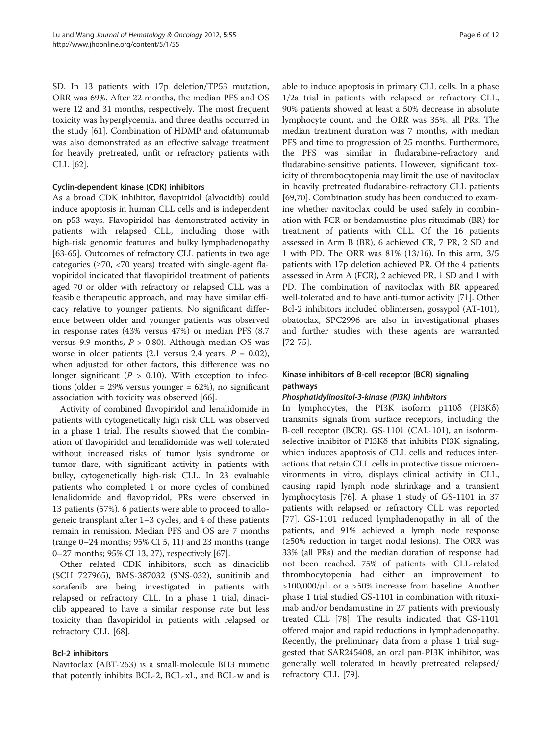SD. In 13 patients with 17p deletion/TP53 mutation, ORR was 69%. After 22 months, the median PFS and OS were 12 and 31 months, respectively. The most frequent toxicity was hyperglycemia, and three deaths occurred in the study [\[61\]](#page-9-0). Combination of HDMP and ofatumumab was also demonstrated as an effective salvage treatment for heavily pretreated, unfit or refractory patients with CLL [[62](#page-9-0)].

# Cyclin-dependent kinase (CDK) inhibitors

As a broad CDK inhibitor, flavopiridol (alvocidib) could induce apoptosis in human CLL cells and is independent on p53 ways. Flavopiridol has demonstrated activity in patients with relapsed CLL, including those with high-risk genomic features and bulky lymphadenopathy [[63-65](#page-9-0)]. Outcomes of refractory CLL patients in two age categories ( $\geq$ 70,  $\lt$ 70 years) treated with single-agent flavopiridol indicated that flavopiridol treatment of patients aged 70 or older with refractory or relapsed CLL was a feasible therapeutic approach, and may have similar efficacy relative to younger patients. No significant difference between older and younger patients was observed in response rates (43% versus 47%) or median PFS (8.7 versus 9.9 months,  $P > 0.80$ ). Although median OS was worse in older patients (2.1 versus 2.4 years,  $P = 0.02$ ), when adjusted for other factors, this difference was no longer significant ( $P > 0.10$ ). With exception to infections (older =  $29\%$  versus younger =  $62\%$ ), no significant association with toxicity was observed [\[66\]](#page-9-0).

Activity of combined flavopiridol and lenalidomide in patients with cytogenetically high risk CLL was observed in a phase 1 trial. The results showed that the combination of flavopiridol and lenalidomide was well tolerated without increased risks of tumor lysis syndrome or tumor flare, with significant activity in patients with bulky, cytogenetically high-risk CLL. In 23 evaluable patients who completed 1 or more cycles of combined lenalidomide and flavopiridol, PRs were observed in 13 patients (57%). 6 patients were able to proceed to allogeneic transplant after 1–3 cycles, and 4 of these patients remain in remission. Median PFS and OS are 7 months (range 0–24 months; 95% CI 5, 11) and 23 months (range 0–27 months; 95% CI 13, 27), respectively [\[67](#page-9-0)].

Other related CDK inhibitors, such as dinaciclib (SCH 727965), BMS-387032 (SNS-032), sunitinib and sorafenib are being investigated in patients with relapsed or refractory CLL. In a phase 1 trial, dinaciclib appeared to have a similar response rate but less toxicity than flavopiridol in patients with relapsed or refractory CLL [\[68\]](#page-9-0).

# Bcl-2 inhibitors

Navitoclax (ABT-263) is a small-molecule BH3 mimetic that potently inhibits BCL-2, BCL-xL, and BCL-w and is

able to induce apoptosis in primary CLL cells. In a phase 1/2a trial in patients with relapsed or refractory CLL, 90% patients showed at least a 50% decrease in absolute lymphocyte count, and the ORR was 35%, all PRs. The median treatment duration was 7 months, with median PFS and time to progression of 25 months. Furthermore, the PFS was similar in fludarabine-refractory and fludarabine-sensitive patients. However, significant toxicity of thrombocytopenia may limit the use of navitoclax in heavily pretreated fludarabine-refractory CLL patients [[69,70\]](#page-9-0). Combination study has been conducted to examine whether navitoclax could be used safely in combination with FCR or bendamustine plus rituximab (BR) for treatment of patients with CLL. Of the 16 patients assessed in Arm B (BR), 6 achieved CR, 7 PR, 2 SD and 1 with PD. The ORR was 81% (13/16). In this arm, 3/5 patients with 17p deletion achieved PR. Of the 4 patients assessed in Arm A (FCR), 2 achieved PR, 1 SD and 1 with PD. The combination of navitoclax with BR appeared well-tolerated and to have anti-tumor activity [\[71](#page-9-0)]. Other Bcl-2 inhibitors included oblimersen, gossypol (AT-101), obatoclax, SPC2996 are also in investigational phases and further studies with these agents are warranted [[72-](#page-9-0)[75](#page-10-0)].

# Kinase inhibitors of B-cell receptor (BCR) signaling pathways

# Phosphatidylinositol-3-kinase (PI3K) inhibitors

In lymphocytes, the PI3K isoform p110δ (PI3Kδ) transmits signals from surface receptors, including the B-cell receptor (BCR). GS-1101 (CAL-101), an isoformselective inhibitor of PI3Kδ that inhibits PI3K signaling, which induces apoptosis of CLL cells and reduces interactions that retain CLL cells in protective tissue microenvironments in vitro, displays clinical activity in CLL, causing rapid lymph node shrinkage and a transient lymphocytosis [\[76\]](#page-10-0). A phase 1 study of GS-1101 in 37 patients with relapsed or refractory CLL was reported [[77\]](#page-10-0). GS-1101 reduced lymphadenopathy in all of the patients, and 91% achieved a lymph node response (≥50% reduction in target nodal lesions). The ORR was 33% (all PRs) and the median duration of response had not been reached. 75% of patients with CLL-related thrombocytopenia had either an improvement to  $>100,000/\mu L$  or a  $>50\%$  increase from baseline. Another phase 1 trial studied GS-1101 in combination with rituximab and/or bendamustine in 27 patients with previously treated CLL [[78\]](#page-10-0). The results indicated that GS-1101 offered major and rapid reductions in lymphadenopathy. Recently, the preliminary data from a phase 1 trial suggested that SAR245408, an oral pan-PI3K inhibitor, was generally well tolerated in heavily pretreated relapsed/ refractory CLL [\[79](#page-10-0)].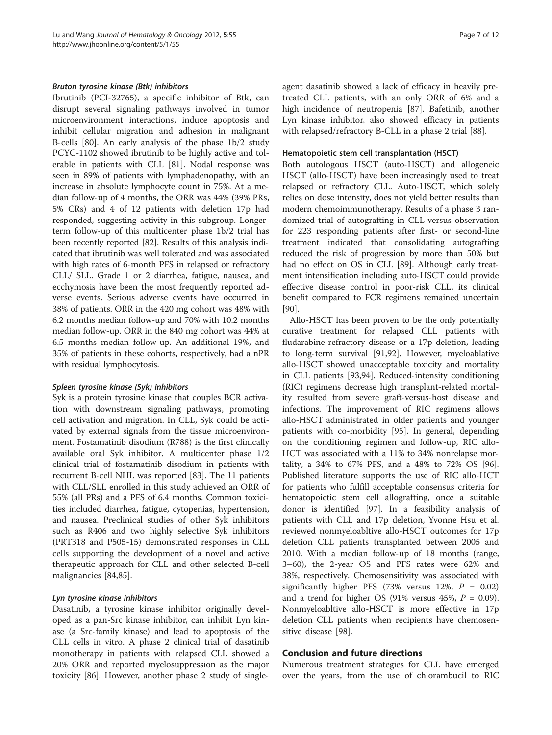# Bruton tyrosine kinase (Btk) inhibitors

Ibrutinib (PCI-32765), a specific inhibitor of Btk, can disrupt several signaling pathways involved in tumor microenvironment interactions, induce apoptosis and inhibit cellular migration and adhesion in malignant B-cells [[80](#page-10-0)]. An early analysis of the phase 1b/2 study PCYC-1102 showed ibrutinib to be highly active and tolerable in patients with CLL [[81\]](#page-10-0). Nodal response was seen in 89% of patients with lymphadenopathy, with an increase in absolute lymphocyte count in 75%. At a median follow-up of 4 months, the ORR was 44% (39% PRs, 5% CRs) and 4 of 12 patients with deletion 17p had responded, suggesting activity in this subgroup. Longerterm follow-up of this multicenter phase 1b/2 trial has been recently reported [\[82](#page-10-0)]. Results of this analysis indicated that ibrutinib was well tolerated and was associated with high rates of 6-month PFS in relapsed or refractory CLL/ SLL. Grade 1 or 2 diarrhea, fatigue, nausea, and ecchymosis have been the most frequently reported adverse events. Serious adverse events have occurred in 38% of patients. ORR in the 420 mg cohort was 48% with 6.2 months median follow-up and 70% with 10.2 months median follow-up. ORR in the 840 mg cohort was 44% at 6.5 months median follow-up. An additional 19%, and 35% of patients in these cohorts, respectively, had a nPR with residual lymphocytosis.

### Spleen tyrosine kinase (Syk) inhibitors

Syk is a protein tyrosine kinase that couples BCR activation with downstream signaling pathways, promoting cell activation and migration. In CLL, Syk could be activated by external signals from the tissue microenvironment. Fostamatinib disodium (R788) is the first clinically available oral Syk inhibitor. A multicenter phase 1/2 clinical trial of fostamatinib disodium in patients with recurrent B-cell NHL was reported [[83\]](#page-10-0). The 11 patients with CLL/SLL enrolled in this study achieved an ORR of 55% (all PRs) and a PFS of 6.4 months. Common toxicities included diarrhea, fatigue, cytopenias, hypertension, and nausea. Preclinical studies of other Syk inhibitors such as R406 and two highly selective Syk inhibitors (PRT318 and P505-15) demonstrated responses in CLL cells supporting the development of a novel and active therapeutic approach for CLL and other selected B-cell malignancies [[84](#page-10-0),[85](#page-10-0)].

# Lyn tyrosine kinase inhibitors

Dasatinib, a tyrosine kinase inhibitor originally developed as a pan-Src kinase inhibitor, can inhibit Lyn kinase (a Src-family kinase) and lead to apoptosis of the CLL cells in vitro. A phase 2 clinical trial of dasatinib monotherapy in patients with relapsed CLL showed a 20% ORR and reported myelosuppression as the major toxicity [[86\]](#page-10-0). However, another phase 2 study of singleagent dasatinib showed a lack of efficacy in heavily pretreated CLL patients, with an only ORR of 6% and a high incidence of neutropenia [[87\]](#page-10-0). Bafetinib, another Lyn kinase inhibitor, also showed efficacy in patients with relapsed/refractory B-CLL in a phase 2 trial [\[88](#page-10-0)].

#### Hematopoietic stem cell transplantation (HSCT)

Both autologous HSCT (auto-HSCT) and allogeneic HSCT (allo-HSCT) have been increasingly used to treat relapsed or refractory CLL. Auto-HSCT, which solely relies on dose intensity, does not yield better results than modern chemoimmunotherapy. Results of a phase 3 randomized trial of autografting in CLL versus observation for 223 responding patients after first- or second-line treatment indicated that consolidating autografting reduced the risk of progression by more than 50% but had no effect on OS in CLL [[89\]](#page-10-0). Although early treatment intensification including auto-HSCT could provide effective disease control in poor-risk CLL, its clinical benefit compared to FCR regimens remained uncertain [[90\]](#page-10-0).

Allo-HSCT has been proven to be the only potentially curative treatment for relapsed CLL patients with fludarabine-refractory disease or a 17p deletion, leading to long-term survival [\[91,92\]](#page-10-0). However, myeloablative allo-HSCT showed unacceptable toxicity and mortality in CLL patients [\[93,94\]](#page-10-0). Reduced-intensity conditioning (RIC) regimens decrease high transplant-related mortality resulted from severe graft-versus-host disease and infections. The improvement of RIC regimens allows allo-HSCT administrated in older patients and younger patients with co-morbidity [[95\]](#page-10-0). In general, depending on the conditioning regimen and follow-up, RIC allo-HCT was associated with a 11% to 34% nonrelapse mortality, a 34% to 67% PFS, and a 48% to 72% OS [\[96](#page-10-0)]. Published literature supports the use of RIC allo-HCT for patients who fulfill acceptable consensus criteria for hematopoietic stem cell allografting, once a suitable donor is identified [[97\]](#page-10-0). In a feasibility analysis of patients with CLL and 17p deletion, Yvonne Hsu et al. reviewed nonmyeloabltive allo-HSCT outcomes for 17p deletion CLL patients transplanted between 2005 and 2010. With a median follow-up of 18 months (range, 3–60), the 2-year OS and PFS rates were 62% and 38%, respectively. Chemosensitivity was associated with significantly higher PFS (73% versus 12%,  $P = 0.02$ ) and a trend for higher OS (91% versus 45%,  $P = 0.09$ ). Nonmyeloabltive allo-HSCT is more effective in 17p deletion CLL patients when recipients have chemosensitive disease [\[98](#page-10-0)].

# Conclusion and future directions

Numerous treatment strategies for CLL have emerged over the years, from the use of chlorambucil to RIC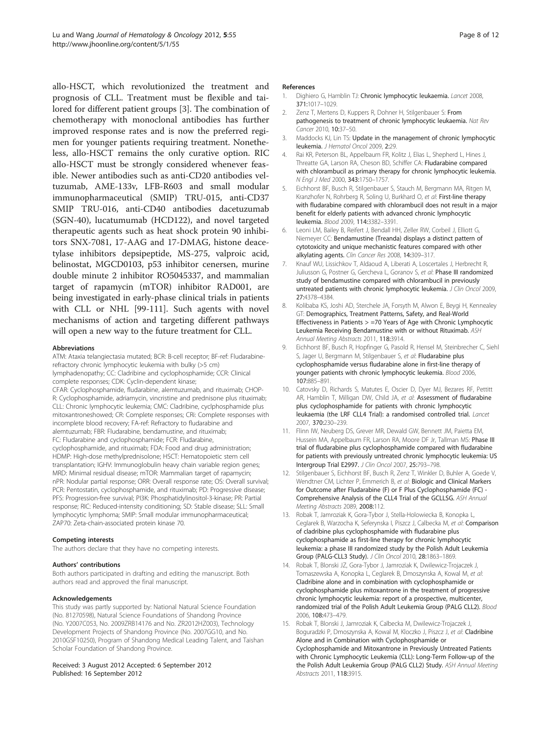<span id="page-7-0"></span>allo-HSCT, which revolutionized the treatment and prognosis of CLL. Treatment must be flexible and tailored for different patient groups [3]. The combination of chemotherapy with monoclonal antibodies has further improved response rates and is now the preferred regimen for younger patients requiring treatment. Nonetheless, allo-HSCT remains the only curative option. RIC allo-HSCT must be strongly considered whenever feasible. Newer antibodies such as anti-CD20 antibodies veltuzumab, AME-133v, LFB-R603 and small modular immunopharmaceutical (SMIP) TRU-015, anti-CD37 SMIP TRU-016, anti-CD40 antibodies dacetuzumab (SGN-40), lucatumumab (HCD122), and novel targeted therapeutic agents such as heat shock protein 90 inhibitors SNX-7081, 17-AAG and 17-DMAG, histone deacetylase inhibitors depsipeptide, MS-275, valproic acid, belinostat, MGCD0103, p53 inhibitor cenersen, murine double minute 2 inhibitor RO5045337, and mammalian target of rapamycin (mTOR) inhibitor RAD001, are being investigated in early-phase clinical trials in patients with CLL or NHL [\[99](#page-10-0)[-111](#page-11-0)]. Such agents with novel mechanisms of action and targeting different pathways will open a new way to the future treatment for CLL.

#### Abbreviations

ATM: Ataxia telangiectasia mutated; BCR: B-cell receptor; BF-ref: Fludarabinerefractory chronic lymphocytic leukemia with bulky (>5 cm) lymphadenopathy; CC: Cladribine and cyclophosphamide; CCR: Clinical complete responses; CDK: Cyclin-dependent kinase; CFAR: Cyclophosphamide, fludarabine, alemtuzumab, and rituximab; CHOP-R: Cyclophosphamide, adriamycin, vincristine and prednisone plus rituximab; CLL: Chronic lymphocytic leukemia; CMC: Cladribine, cyclphosphamide plus mitoxantroneshowed; CR: Complete responses; CRi: Complete responses with incomplete blood recovery; FA-ref: Refractory to fludarabine and alemtuzumab; FBR: Fludarabine, bendamustine, and rituximab; FC: Fludarabine and cyclophosphamide; FCR: Fludarabine, cyclophosphamide, and rituximab; FDA: Food and drug administration; HDMP: High-dose methylprednisolone; HSCT: Hematopoietic stem cell transplantation; IGHV: Immunoglobulin heavy chain variable region genes; MRD: Minimal residual disease; mTOR: Mammalian target of rapamycin; nPR: Nodular partial response; ORR: Overall response rate; OS: Overall survival; PCR: Pentostatin, cyclophosphamide, and rituximab; PD: Progressive disease; PFS: Progression-free survival; PI3K: Phosphatidylinositol-3-kinase; PR: Partial response; RIC: Reduced-intensity conditioning; SD: Stable disease; SLL: Small lymphocytic lymphoma; SMIP: Small modular immunopharmaceutical; ZAP70: Zeta-chain-associated protein kinase 70.

#### Competing interests

The authors declare that they have no competing interests.

#### Authors' contributions

Both authors participated in drafting and editing the manuscript. Both authors read and approved the final manuscript.

#### Acknowledgements

This study was partly supported by: National Natural Science Foundation (No. 81270598), Natural Science Foundations of Shandong Province (No. Y2007C053, No. 2009ZRB14176 and No. ZR2012HZ003), Technology Development Projects of Shandong Province (No. 2007GG10, and No. 2010GSF10250), Program of Shandong Medical Leading Talent, and Taishan Scholar Foundation of Shandong Province.

Received: 3 August 2012 Accepted: 6 September 2012 Published: 16 September 2012

# References

- 1. Dighiero G, Hamblin TJ: Chronic lymphocytic leukaemia. Lancet 2008. 371:1017–1029.
- 2. Zenz T, Mertens D, Kuppers R, Dohner H, Stilgenbauer S: From pathogenesis to treatment of chronic lymphocytic leukaemia. Nat Rev Cancer 2010, 10:37–50.
- 3. Maddocks KJ, Lin TS: Update in the management of chronic lymphocytic leukemia. J Hematol Oncol 2009, 2:29.
- 4. Rai KR, Peterson BL, Appelbaum FR, Kolitz J, Elias L, Shepherd L, Hines J, Threatte GA, Larson RA, Cheson BD, Schiffer CA: Fludarabine compared with chlorambucil as primary therapy for chronic lymphocytic leukemia. N Engl J Med 2000, 343:1750–1757.
- 5. Eichhorst BF, Busch R, Stilgenbauer S, Stauch M, Bergmann MA, Ritgen M, Kranzhofer N, Rohrberg R, Soling U, Burkhard O, et al: First-line therapy with fludarabine compared with chlorambucil does not result in a major benefit for elderly patients with advanced chronic lymphocytic leukemia. Blood 2009, 114:3382–3391.
- 6. Leoni LM, Bailey B, Reifert J, Bendall HH, Zeller RW, Corbeil J, Elliott G, Niemeyer CC: Bendamustine (Treanda) displays a distinct pattern of cytotoxicity and unique mechanistic features compared with other alkylating agents. Clin Cancer Res 2008, 14:309–317.
- 7. Knauf WU, Lissichkov T, Aldaoud A, Liberati A, Loscertales J, Herbrecht R, Juliusson G, Postner G, Gercheva L, Goranov S, et al: Phase III randomized study of bendamustine compared with chlorambucil in previously untreated patients with chronic lymphocytic leukemia. J Clin Oncol 2009, 27:4378–4384.
- 8. Kolibaba KS, Joshi AD, Sterchele JA, Forsyth M, Alwon E, Beygi H, Kennealey GT: Demographics, Treatment Patterns, Safety, and Real-World Effectiveness in Patients > =70 Years of Age with Chronic Lymphocytic Leukemia Receiving Bendamustine with or without Rituximab. ASH Annual Meeting Abstracts 2011, 118:3914.
- 9. Eichhorst BF, Busch R, Hopfinger G, Pasold R, Hensel M, Steinbrecher C, Siehl S, Jager U, Bergmann M, Stilgenbauer S, et al: Fludarabine plus cyclophosphamide versus fludarabine alone in first-line therapy of younger patients with chronic lymphocytic leukemia. Blood 2006, 107:885–891.
- 10. Catovsky D, Richards S, Matutes E, Oscier D, Dyer MJ, Bezares RF, Pettitt AR, Hamblin T, Milligan DW, Child JA, et al: Assessment of fludarabine plus cyclophosphamide for patients with chronic lymphocytic leukaemia (the LRF CLL4 Trial): a randomised controlled trial. Lancet 2007, 370:230–239.
- 11. Flinn IW, Neuberg DS, Grever MR, Dewald GW, Bennett JM, Paietta EM, Hussein MA, Appelbaum FR, Larson RA, Moore DF Jr, Tallman MS: Phase III trial of fludarabine plus cyclophosphamide compared with fludarabine for patients with previously untreated chronic lymphocytic leukemia: US Intergroup Trial E2997. J Clin Oncol 2007, 25:793–798.
- 12. Stilgenbauer S, Eichhorst BF, Busch R, Zenz T, Winkler D, Buhler A, Goede V, Wendtner CM, Lichter P, Emmerich B, et al: Biologic and Clinical Markers for Outcome after Fludarabine (F) or F Plus Cyclophosphamide (FC) - Comprehensive Analysis of the CLL4 Trial of the GCLLSG. ASH Annual Meeting Abstracts 2089, 2008:112.
- 13. Robak T, Jamroziak K, Gora-Tybor J, Stella-Holowiecka B, Konopka L, Ceglarek B, Warzocha K, Seferynska I, Piszcz J, Calbecka M, et al: Comparison of cladribine plus cyclophosphamide with fludarabine plus cyclophosphamide as first-line therapy for chronic lymphocytic leukemia: a phase III randomized study by the Polish Adult Leukemia Group (PALG-CLL3 Study). J Clin Oncol 2010, 28:1863–1869.
- 14. Robak T, Blonski JZ, Gora-Tybor J, Jamroziak K, Dwilewicz-Trojaczek J, Tomaszewska A, Konopka L, Ceglarek B, Dmoszynska A, Kowal M, et al: Cladribine alone and in combination with cyclophosphamide or cyclophosphamide plus mitoxantrone in the treatment of progressive chronic lymphocytic leukemia: report of a prospective, multicenter, randomized trial of the Polish Adult Leukemia Group (PALG CLL2). Blood 2006, 108:473–479.
- 15. Robak T, Blonski J, Jamroziak K, Calbecka M, Dwilewicz-Trojaczek J, Boguradzki P, Dmoszynska A, Kowal M, Kloczko J, Piszcz J, et al: Cladribine Alone and in Combination with Cyclophosphamide or Cyclophosphamide and Mitoxantrone in Previously Untreated Patients with Chronic Lymphocytic Leukemia (CLL): Long-Term Follow-up of the the Polish Adult Leukemia Group (PALG CLL2) Study. ASH Annual Meeting Abstracts 2011, 118:3915.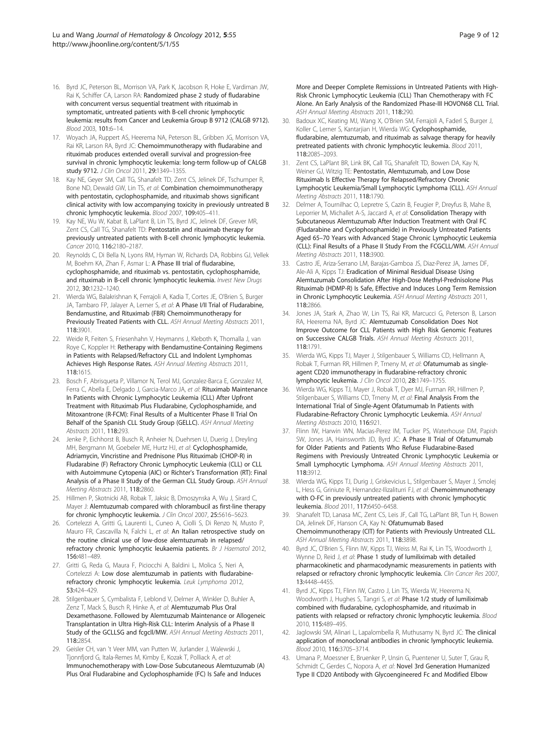- <span id="page-8-0"></span>16. Byrd JC, Peterson BL, Morrison VA, Park K, Jacobson R, Hoke E, Vardiman JW, Rai K, Schiffer CA, Larson RA: Randomized phase 2 study of fludarabine with concurrent versus sequential treatment with rituximab in symptomatic, untreated patients with B-cell chronic lymphocytic leukemia: results from Cancer and Leukemia Group B 9712 (CALGB 9712). Blood 2003, 101:6–14.
- 17. Woyach JA, Ruppert AS, Heerema NA, Peterson BL, Gribben JG, Morrison VA, Rai KR, Larson RA, Byrd JC: Chemoimmunotherapy with fludarabine and rituximab produces extended overall survival and progression-free survival in chronic lymphocytic leukemia: long-term follow-up of CALGB study 9712. J Clin Oncol 2011, 29:1349-1355
- 18. Kay NE, Geyer SM, Call TG, Shanafelt TD, Zent CS, Jelinek DF, Tschumper R, Bone ND, Dewald GW, Lin TS, et al: Combination chemoimmunotherapy with pentostatin, cyclophosphamide, and rituximab shows significant clinical activity with low accompanying toxicity in previously untreated B chronic lymphocytic leukemia. Blood 2007, 109:405–411.
- 19. Kay NE, Wu W, Kabat B, LaPlant B, Lin TS, Byrd JC, Jelinek DF, Grever MR, Zent CS, Call TG, Shanafelt TD: Pentostatin and rituximab therapy for previously untreated patients with B-cell chronic lymphocytic leukemia. Cancer 2010, 116:2180–2187.
- 20. Reynolds C, Di Bella N, Lyons RM, Hyman W, Richards DA, Robbins GJ, Vellek M, Boehm KA, Zhan F, Asmar L: A Phase III trial of fludarabine, cyclophosphamide, and rituximab vs. pentostatin, cyclophosphamide, and rituximab in B-cell chronic lymphocytic leukemia. Invest New Drugs 2012, 30:1232–1240.
- 21. Wierda WG, Balakrishnan K, Ferrajoli A, Kadia T, Cortes JE, O'Brien S, Burger JA, Tambaro FP, Jalayer A, Lerner S, et al: A Phase I/II Trial of Fludarabine, Bendamustine, and Rituximab (FBR) Chemoimmunotherapy for Previously Treated Patients with CLL. ASH Annual Meeting Abstracts 2011, 118:3901.
- 22. Weide R, Feiten S, Friesenhahn V, Heymanns J, Kleboth K, Thomalla J, van Roye C, Koppler H: Retherapy with Bendamustine-Containing Regimens in Patients with Relapsed/Refractory CLL and Indolent Lymphomas Achieves High Response Rates. ASH Annual Meeting Abstracts 2011, 118:1615.
- 23. Bosch F, Abrisqueta P, Villamor N, Terol MJ, Gonzalez-Barca E, Gonzalez M, Ferra C, Abella E, Delgado J, Garcia-Marco JA, et al: Rituximab Maintenance In Patients with Chronic Lymphocytic Leukemia (CLL) After Upfront Treatment with Rituximab Plus Fludarabine, Cyclophosphamide, and Mitoxantrone (R-FCM): Final Results of a Multicenter Phase II Trial On Behalf of the Spanish CLL Study Group (GELLC). ASH Annual Meeting Abstracts 2011, 118:293.
- 24. Jenke P, Eichhorst B, Busch R, Anheier N, Duehrsen U, Duerig J, Dreyling MH, Bergmann M, Goebeler ME, Hurtz HJ, et al: Cyclophosphamide, Adriamycin, Vincristine and Prednisone Plus Rituximab (CHOP-R) in Fludarabine (F) Refractory Chronic Lymphocytic Leukemia (CLL) or CLL with Autoimmune Cytopenia (AIC) or Richter's Transformation (RT): Final Analysis of a Phase II Study of the German CLL Study Group. ASH Annual Meeting Abstracts 2011, 118:2860.
- 25. Hillmen P, Skotnicki AB, Robak T, Jaksic B, Dmoszynska A, Wu J, Sirard C, Mayer J: Alemtuzumab compared with chlorambucil as first-line therapy for chronic lymphocytic leukemia. J Clin Oncol 2007, 25:5616–5623.
- 26. Cortelezzi A, Gritti G, Laurenti L, Cuneo A, Ciolli S, Di Renzo N, Musto P, Mauro FR, Cascavilla N, Falchi L, et al: An Italian retrospective study on the routine clinical use of low-dose alemtuzumab in relapsed/ refractory chronic lymphocytic leukaemia patients. Br J Haematol 2012, 156:481–489.
- 27. Gritti G, Reda G, Maura F, Piciocchi A, Baldini L, Molica S, Neri A, Cortelezzi A: Low dose alemtuzumab in patients with fludarabinerefractory chronic lymphocytic leukemia. Leuk Lymphoma 2012, 53:424–429.
- 28. Stilgenbauer S, Cymbalista F, Leblond V, Delmer A, Winkler D, Buhler A, Zenz T, Mack S, Busch R, Hinke A, et al: Alemtuzumab Plus Oral Dexamethasone. Followed by Alemtuzumab Maintenance or Allogeneic Transplantation in Ultra High-Risk CLL: Interim Analysis of a Phase II Study of the GCLLSG and fcgcll/MW. ASH Annual Meeting Abstracts 2011, 118:2854.
- 29. Geisler CH, van 't Veer MM, van Putten W, Jurlander J, Walewski J, Tjonnfjord G, Itala-Remes M, Kimby E, Kozak T, Polliack A, et al: Immunochemotherapy with Low-Dose Subcutaneous Alemtuzumab (A) Plus Oral Fludarabine and Cyclophosphamide (FC) Is Safe and Induces

More and Deeper Complete Remissions in Untreated Patients with High-Risk Chronic Lymphocytic Leukemia (CLL) Than Chemotherapy with FC Alone. An Early Analysis of the Randomized Phase-III HOVON68 CLL Trial. ASH Annual Meeting Abstracts 2011, 118:290.

- 30. Badoux XC, Keating MJ, Wang X, O'Brien SM, Ferrajoli A, Faderl S, Burger J, Koller C, Lerner S, Kantarjian H, Wierda WG: Cyclophosphamide, fludarabine, alemtuzumab, and rituximab as salvage therapy for heavily pretreated patients with chronic lymphocytic leukemia. Blood 2011, 118:2085–2093.
- 31. Zent CS, LaPlant BR, Link BK, Call TG, Shanafelt TD, Bowen DA, Kay N, Weiner GJ, Witzig TE: Pentostatin, Alemtuzumab, and Low Dose Rituximab Is Effective Therapy for Relapsed/Refractory Chronic Lymphocytic Leukemia/Small Lymphocytic Lymphoma (CLL). ASH Annual Meeting Abstracts 2011, 118:1790.
- 32. Delmer A, Tournilhac O, Lepretre S, Cazin B, Feugier P, Dreyfus B, Mahe B, Leporrier M, Michallet A-S, Jaccard A, et al: Consolidation Therapy with Subcutaneous Alemtuzumab After Induction Treatment with Oral FC (Fludarabine and Cyclophosphamide) in Previously Untreated Patients Aged 65–70 Years with Advanced Stage Chronic Lymphocytic Leukemia (CLL): Final Results of a Phase II Study From the FCGCLL/WM. ASH Annual Meeting Abstracts 2011, 118:3900.
- 33. Castro JE, Ariza-Serrano LM, Barajas-Gamboa JS, Diaz-Perez JA, James DF, Ale-Ali A, Kipps TJ: Eradication of Minimal Residual Disease Using Alemtuzumab Consolidation After High-Dose Methyl-Prednisolone Plus Rituximab (HDMP-R) Is Safe, Effective and Induces Long Term Remission in Chronic Lymphocytic Leukemia. ASH Annual Meeting Abstracts 2011, 118:2866.
- Jones JA, Stark A, Zhao W, Lin TS, Rai KR, Marcucci G, Peterson B, Larson RA, Heerema NA, Byrd JC: Alemtuzumab Consolidation Does Not Improve Outcome for CLL Patients with High Risk Genomic Features on Successive CALGB Trials. ASH Annual Meeting Abstracts 2011, 118:1791.
- 35. Wierda WG, Kipps TJ, Mayer J, Stilgenbauer S, Williams CD, Hellmann A, Robak T, Furman RR, Hillmen P, Trneny M, et al: Ofatumumab as singleagent CD20 immunotherapy in fludarabine-refractory chronic lymphocytic leukemia. J Clin Oncol 2010, 28:1749–1755.
- 36. Wierda WG, Kipps TJ, Mayer J, Robak T, Dyer MJ, Furman RR, Hillmen P, Stilgenbauer S, Williams CD, Trneny M, et al: Final Analysis From the International Trial of Single-Agent Ofatumumab In Patients with Fludarabine-Refractory Chronic Lymphocytic Leukemia. ASH Annual Meeting Abstracts 2010, 116:921.
- 37. Flinn IW, Harwin WN, Macias-Perez IM, Tucker PS, Waterhouse DM, Papish SW, Jones JA, Hainsworth JD, Byrd JC: A Phase II Trial of Ofatumumab for Older Patients and Patients Who Refuse Fludarabine-Based Regimens with Previously Untreated Chronic Lymphocytic Leukemia or Small Lymphocytic Lymphoma. ASH Annual Meeting Abstracts 2011, 118:3912.
- 38. Wierda WG, Kipps TJ, Durig J, Griskevicius L, Stilgenbauer S, Mayer J, Smolej L, Hess G, Griniute R, Hernandez-Ilizaliturri FJ, et al: Chemoimmunotherapy with O-FC in previously untreated patients with chronic lymphocytic leukemia. Blood 2011, 117:6450–6458.
- 39. Shanafelt TD, Lanasa MC, Zent CS, Leis JF, Call TG, LaPlant BR, Tun H, Bowen DA, Jelinek DF, Hanson CA, Kay N: Ofatumumab Based Chemoimmunotherapy (CIT) for Patients with Previously Untreated CLL. ASH Annual Meeting Abstracts 2011, 118:3898.
- 40. Byrd JC, O'Brien S, Flinn IW, Kipps TJ, Weiss M, Rai K, Lin TS, Woodworth J, Wynne D, Reid J, et al: Phase 1 study of lumiliximab with detailed pharmacokinetic and pharmacodynamic measurements in patients with relapsed or refractory chronic lymphocytic leukemia. Clin Cancer Res 2007, 13:4448–4455.
- 41. Byrd JC, Kipps TJ, Flinn IW, Castro J, Lin TS, Wierda W, Heerema N, Woodworth J, Hughes S, Tangri S, et al: Phase 1/2 study of lumiliximab combined with fludarabine, cyclophosphamide, and rituximab in patients with relapsed or refractory chronic lymphocytic leukemia. Blood 2010, 115:489–495.
- 42. Jaglowski SM, Alinari L, Lapalombella R, Muthusamy N, Byrd JC: The clinical application of monoclonal antibodies in chronic lymphocytic leukemia. Blood 2010, 116:3705–3714.
- 43. Umana P, Moessner E, Bruenker P, Unsin G, Puentener U, Suter T, Grau R, Schmidt C, Gerdes C, Nopora A, et al: Novel 3rd Generation Humanized Type II CD20 Antibody with Glycoengineered Fc and Modified Elbow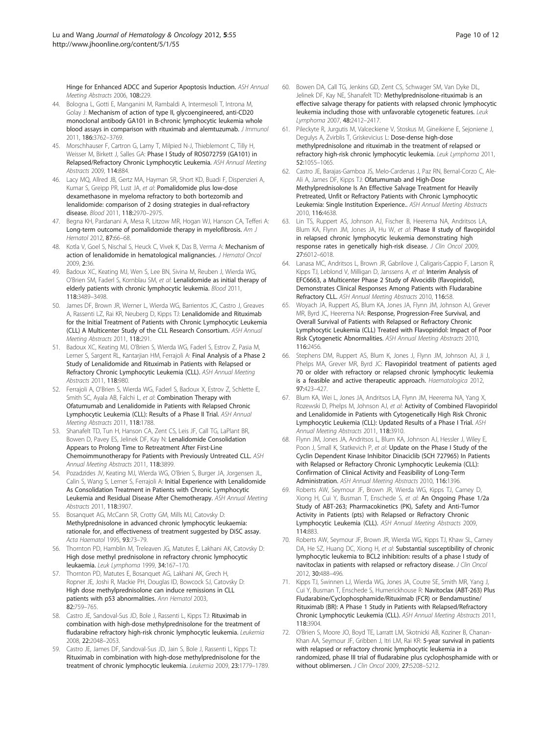<span id="page-9-0"></span>Hinge for Enhanced ADCC and Superior Apoptosis Induction. ASH Annual Meeting Abstracts 2006, 108:229.

- 44. Bologna L, Gotti E, Manganini M, Rambaldi A, Intermesoli T, Introna M, Golay J: Mechanism of action of type II, glycoengineered, anti-CD20 monoclonal antibody GA101 in B-chronic lymphocytic leukemia whole blood assays in comparison with rituximab and alemtuzumab. J Immunol 2011, 186:3762–3769.
- 45. Morschhauser F, Cartron G, Lamy T, Milpied N-J, Thieblemont C, Tilly H, Weisser M, Birkett J, Salles GA: Phase I Study of RO5072759 (GA101) in Relapsed/Refractory Chronic Lymphocytic Leukemia. ASH Annual Meeting Abstracts 2009, 114:884.
- 46. Lacy MQ, Allred JB, Gertz MA, Hayman SR, Short KD, Buadi F, Dispenzieri A, Kumar S, Greipp PR, Lust JA, et al: Pomalidomide plus low-dose dexamethasone in myeloma refractory to both bortezomib and lenalidomide: comparison of 2 dosing strategies in dual-refractory disease. Blood 2011, 118:2970–2975.
- 47. Begna KH, Pardanani A, Mesa R, Litzow MR, Hogan WJ, Hanson CA, Tefferi A: Long-term outcome of pomalidomide therapy in myelofibrosis. Am J Hematol 2012, 87:66–68.
- 48. Kotla V, Goel S, Nischal S, Heuck C, Vivek K, Das B, Verma A: Mechanism of action of lenalidomide in hematological malignancies. J Hematol Oncol 2009, 2:36.
- 49. Badoux XC, Keating MJ, Wen S, Lee BN, Sivina M, Reuben J, Wierda WG, O'Brien SM, Faderl S, Kornblau SM, et al: Lenalidomide as initial therapy of elderly patients with chronic lymphocytic leukemia. Blood 2011, 118:3489–3498.
- 50. James DF, Brown JR, Werner L, Wierda WG, Barrientos JC, Castro J, Greaves A, Rassenti LZ, Rai KR, Neuberg D, Kipps TJ: Lenalidomide and Rituximab for the Initial Treatment of Patients with Chronic Lymphocytic Leukemia (CLL) A Multicenter Study of the CLL Research Consortium. ASH Annual Meeting Abstracts 2011, 118:291.
- 51. Badoux XC, Keating MJ, O'Brien S, Wierda WG, Faderl S, Estrov Z, Pasia M, Lerner S, Sargent RL, Kantarjian HM, Ferrajoli A: Final Analysis of a Phase 2 Study of Lenalidomide and Rituximab in Patients with Relapsed or Refractory Chronic Lymphocytic Leukemia (CLL). ASH Annual Meeting Abstracts 2011, 118:980.
- 52. Ferrajoli A, O'Brien S, Wierda WG, Faderl S, Badoux X, Estrov Z, Schlette E, Smith SC, Ayala AB, Falchi L, et al: Combination Therapy with Ofatumumab and Lenalidomide in Patients with Relapsed Chronic Lymphocytic Leukemia (CLL): Results of a Phase II Trial. ASH Annual Meeting Abstracts 2011, 118:1788.
- 53. Shanafelt TD, Tun H, Hanson CA, Zent CS, Leis JF, Call TG, LaPlant BR, Bowen D, Pavey ES, Jelinek DF, Kay N: Lenalidomide Consolidation Appears to Prolong Time to Retreatment After First-Line Chemoimmunotherapy for Patients with Previously Untreated CLL. ASH Annual Meeting Abstracts 2011, 118:3899.
- 54. Pozadzides JV, Keating MJ, Wierda WG, O'Brien S, Burger JA, Jorgensen JL, Calin S, Wang S, Lerner S, Ferrajoli A: Initial Experience with Lenalidomide As Consolidation Treatment in Patients with Chronic Lymphocytic Leukemia and Residual Disease After Chemotherapy. ASH Annual Meeting Abstracts 2011, 118:3907.
- 55. Bosanquet AG, McCann SR, Crotty GM, Mills MJ, Catovsky D: Methylprednisolone in advanced chronic lymphocytic leukaemia: rationale for, and effectiveness of treatment suggested by DiSC assay. Acta Haematol 1995, 93:73–79.
- 56. Thornton PD, Hamblin M, Treleaven JG, Matutes E, Lakhani AK, Catovsky D: High dose methyl prednisolone in refractory chronic lymphocytic leukaemia. Leuk Lymphoma 1999, 34:167–170.
- 57. Thornton PD, Matutes E, Bosanquet AG, Lakhani AK, Grech H, Ropner JE, Joshi R, Mackie PH, Douglas ID, Bowcock SJ, Catovsky D: High dose methylprednisolone can induce remissions in CLL patients with p53 abnormalities. Ann Hematol 2003, 82:759–765.
- 58. Castro JE, Sandoval-Sus JD, Bole J, Rassenti L, Kipps TJ: Rituximab in combination with high-dose methylprednisolone for the treatment of fludarabine refractory high-risk chronic lymphocytic leukemia. Leukemia 2008, 22:2048–2053.
- 59. Castro JE, James DF, Sandoval-Sus JD, Jain S, Bole J, Rassenti L, Kipps TJ: Rituximab in combination with high-dose methylprednisolone for the treatment of chronic lymphocytic leukemia. Leukemia 2009, 23:1779–1789.
- 60. Bowen DA, Call TG, Jenkins GD, Zent CS, Schwager SM, Van Dyke DL, Jelinek DF, Kay NE, Shanafelt TD: Methylprednisolone-rituximab is an effective salvage therapy for patients with relapsed chronic lymphocytic leukemia including those with unfavorable cytogenetic features. Leuk Lymphoma 2007, 48:2412–2417.
- 61. Pileckyte R, Jurgutis M, Valceckiene V, Stoskus M, Gineikiene E, Sejoniene J, Degulys A, Zvirblis T, Griskevicius L: Dose-dense high-dose methylprednisolone and rituximab in the treatment of relapsed or refractory high-risk chronic lymphocytic leukemia. Leuk Lymphoma 2011, 52:1055–1065.
- 62. Castro JE, Barajas-Gamboa JS, Melo-Cardenas J, Paz RN, Bernal-Corzo C, Ale-Ali A, James DF, Kipps TJ: Ofatumumab and High-Dose Methylprednisolone Is An Effective Salvage Treatment for Heavily Pretreated, Unfit or Refractory Patients with Chronic Lymphocytic Leukemia: Single Institution Experience.. ASH Annual Meeting Abstracts 2010, 116:4638.
- 63. Lin TS, Ruppert AS, Johnson AJ, Fischer B, Heerema NA, Andritsos LA, Blum KA, Flynn JM, Jones JA, Hu W, et al: Phase II study of flavopiridol in relapsed chronic lymphocytic leukemia demonstrating high response rates in genetically high-risk disease. J Clin Oncol 2009, 27:6012–6018.
- 64. Lanasa MC, Andritsos L, Brown JR, Gabrilove J, Caligaris-Cappio F, Larson R, Kipps TJ, Leblond V, Milligan D, Janssens A, et al: Interim Analysis of EFC6663, a Multicenter Phase 2 Study of Alvocidib (flavopiridol), Demonstrates Clinical Responses Among Patients with Fludarabine Refractory CLL. ASH Annual Meeting Abstracts 2010, 116:58.
- 65. Woyach JA, Ruppert AS, Blum KA, Jones JA, Flynn JM, Johnson AJ, Grever MR, Byrd JC, Heerema NA: Response, Progression-Free Survival, and Overall Survival of Patients with Relapsed or Refractory Chronic Lymphocytic Leukemia (CLL) Treated with Flavopiridol: Impact of Poor Risk Cytogenetic Abnormalities. ASH Annual Meeting Abstracts 2010, 116:2456.
- 66. Stephens DM, Ruppert AS, Blum K, Jones J, Flynn JM, Johnson AJ, Ji J, Phelps MA, Grever MR, Byrd JC: Flavopiridol treatment of patients aged 70 or older with refractory or relapsed chronic lymphocytic leukemia is a feasible and active therapeutic approach. Haematologica 2012, 97:423–427.
- 67. Blum KA, Wei L, Jones JA, Andritsos LA, Flynn JM, Heerema NA, Yang X, Rozewski D, Phelps M, Johnson AJ, et al: Activity of Combined Flavopiridol and Lenalidomide in Patients with Cytogenetically High Risk Chronic Lymphocytic Leukemia (CLL): Updated Results of a Phase I Trial. ASH Annual Meeting Abstracts 2011, 118:3910.
- 68. Flynn JM, Jones JA, Andritsos L, Blum KA, Johnson AJ, Hessler J, Wiley E, Poon J, Small K, Statkevich P, et al: Update on the Phase I Study of the Cyclin Dependent Kinase Inhibitor Dinaciclib (SCH 727965) In Patients with Relapsed or Refractory Chronic Lymphocytic Leukemia (CLL): Confirmation of Clinical Activity and Feasibility of Long-Term Administration. ASH Annual Meeting Abstracts 2010, 116:1396.
- 69. Roberts AW, Seymour JF, Brown JR, Wierda WG, Kipps TJ, Carney D, Xiong H, Cui Y, Busman T, Enschede S, et al: An Ongoing Phase 1/2a Study of ABT-263; Pharmacokinetics (PK), Safety and Anti-Tumor Activity in Patients (pts) with Relapsed or Refractory Chronic Lymphocytic Leukemia (CLL). ASH Annual Meeting Abstracts 2009, 114:883.
- 70. Roberts AW, Seymour JF, Brown JR, Wierda WG, Kipps TJ, Khaw SL, Carney DA, He SZ, Huang DC, Xiong H, et al: Substantial susceptibility of chronic lymphocytic leukemia to BCL2 inhibition: results of a phase I study of navitoclax in patients with relapsed or refractory disease. J Clin Oncol 2012, 30:488–496.
- 71. Kipps TJ, Swinnen LJ, Wierda WG, Jones JA, Coutre SE, Smith MR, Yang J, Cui Y, Busman T, Enschede S, Humerickhouse R: Navitoclax (ABT-263) Plus Fludarabine/Cyclophosphamide/Rituximab (FCR) or Bendamustine/ Rituximab (BR): A Phase 1 Study in Patients with Relapsed/Refractory Chronic Lymphocytic Leukemia (CLL). ASH Annual Meeting Abstracts 2011, 118:3904.
- 72. O'Brien S, Moore JO, Boyd TE, Larratt LM, Skotnicki AB, Koziner B, Chanan-Khan AA, Seymour JF, Gribben J, Itri LM, Rai KR: 5-year survival in patients with relapsed or refractory chronic lymphocytic leukemia in a randomized, phase III trial of fludarabine plus cyclophosphamide with or without oblimersen. *J Clin Oncol* 2009, 27:5208-5212.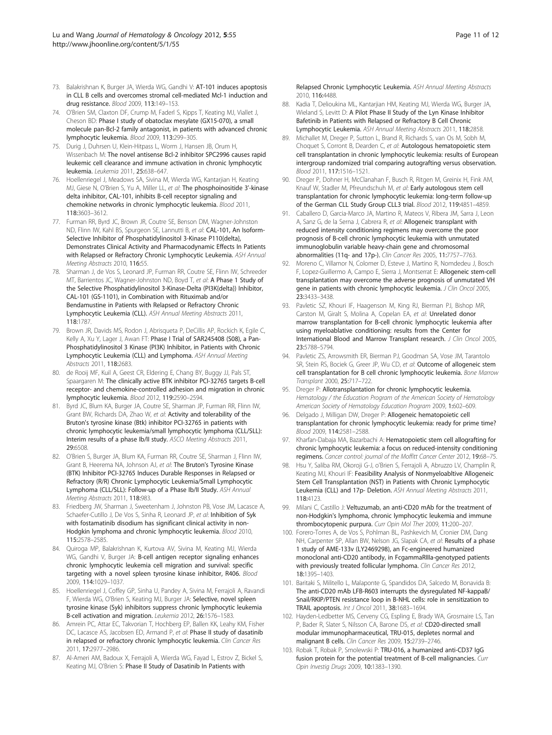- <span id="page-10-0"></span>73. Balakrishnan K, Burger JA, Wierda WG, Gandhi V: AT-101 induces apoptosis in CLL B cells and overcomes stromal cell-mediated Mcl-1 induction and drug resistance. Blood 2009, 113:149–153.
- 74. O'Brien SM, Claxton DF, Crump M, Faderl S, Kipps T, Keating MJ, Viallet J, Cheson BD: Phase I study of obatoclax mesylate (GX15-070), a small molecule pan-Bcl-2 family antagonist, in patients with advanced chronic lymphocytic leukemia. Blood 2009, 113:299–305.
- 75. Durig J, Duhrsen U, Klein-Hitpass L, Worm J, Hansen JB, Orum H, Wissenbach M: The novel antisense Bcl-2 inhibitor SPC2996 causes rapid leukemic cell clearance and immune activation in chronic lymphocytic leukemia. Leukemia 2011, 25:638–647.
- 76. Hoellenriegel J, Meadows SA, Sivina M, Wierda WG, Kantarjian H, Keating MJ, Giese N, O'Brien S, Yu A, Miller LL, et al: The phosphoinositide 3'-kinase delta inhibitor, CAL-101, inhibits B-cell receptor signaling and chemokine networks in chronic lymphocytic leukemia. Blood 2011, 118:3603–3612.
- 77. Furman RR, Byrd JC, Brown JR, Coutre SE, Benson DM, Wagner-Johnston ND, Flinn IW, Kahl BS, Spurgeon SE, Lannutti B, et al: CAL-101, An Isoform-Selective Inhibitor of Phosphatidylinositol 3-Kinase P110{delta}, Demonstrates Clinical Activity and Pharmacodynamic Effects In Patients with Relapsed or Refractory Chronic Lymphocytic Leukemia. ASH Annual Meeting Abstracts 2010, 116:55.
- Sharman J, de Vos S, Leonard JP, Furman RR, Coutre SE, Flinn IW, Schreeder MT, Barrientos JC, Wagner-Johnston ND, Boyd T, et al: A Phase 1 Study of the Selective Phosphatidylinositol 3-Kinase-Delta (PI3K{delta}) Inhibitor, CAL-101 (GS-1101), in Combination with Rituximab and/or Bendamustine in Patients with Relapsed or Refractory Chronic Lymphocytic Leukemia (CLL). ASH Annual Meeting Abstracts 2011, 118:1787.
- 79. Brown JR, Davids MS, Rodon J, Abrisqueta P, DeCillis AP, Rockich K, Egile C, Kelly A, Xu Y, Lager J, Awan FT: Phase I Trial of SAR245408 (S08), a Pan-Phosphatidylinositol 3 Kinase (PI3K) Inhibitor, in Patients with Chronic Lymphocytic Leukemia (CLL) and Lymphoma. ASH Annual Meeting Abstracts 2011, 118:2683.
- 80. de Rooij MF, Kuil A, Geest CR, Eldering E, Chang BY, Buggy JJ, Pals ST, Spaargaren M: The clinically active BTK inhibitor PCI-32765 targets B-cell receptor- and chemokine-controlled adhesion and migration in chronic lymphocytic leukemia. Blood 2012, 119:2590–2594.
- 81. Byrd JC, Blum KA, Burger JA, Coutre SE, Sharman JP, Furman RR, Flinn IW, Grant BW, Richards DA, Zhao W, et al: Activity and tolerability of the Bruton's tyrosine kinase (Btk) inhibitor PCI-32765 in patients with chronic lymphocytic leukemia/small lymphocytic lymphoma (CLL/SLL): Interim results of a phase Ib/II study. ASCO Meeting Abstracts 2011, 29:6508.
- 82. O'Brien S, Burger JA, Blum KA, Furman RR, Coutre SE, Sharman J, Flinn IW, Grant B, Heerema NA, Johnson AJ, et al: The Bruton's Tyrosine Kinase (BTK) Inhibitor PCI-32765 Induces Durable Responses in Relapsed or Refractory (R/R) Chronic Lymphocytic Leukemia/Small Lymphocytic Lymphoma (CLL/SLL): Follow-up of a Phase Ib/II Study. ASH Annual Meeting Abstracts 2011, 118:983.
- 83. Friedberg JW, Sharman J, Sweetenham J, Johnston PB, Vose JM, Lacasce A, Schaefer-Cutillo J, De Vos S, Sinha R, Leonard JP, et al: Inhibition of Syk with fostamatinib disodium has significant clinical activity in non-Hodgkin lymphoma and chronic lymphocytic leukemia. Blood 2010, 115:2578–2585.
- 84. Quiroga MP, Balakrishnan K, Kurtova AV, Sivina M, Keating MJ, Wierda WG, Gandhi V, Burger JA: B-cell antigen receptor signaling enhances chronic lymphocytic leukemia cell migration and survival: specific targeting with a novel spleen tyrosine kinase inhibitor, R406. Blood 2009, 114:1029–1037.
- 85. Hoellenriegel J, Coffey GP, Sinha U, Pandey A, Sivina M, Ferrajoli A, Ravandi F, Wierda WG, O'Brien S, Keating MJ, Burger JA: Selective, novel spleen tyrosine kinase (Syk) inhibitors suppress chronic lymphocytic leukemia B-cell activation and migration. Leukemia 2012, 26:1576–1583.
- 86. Amrein PC, Attar EC, Takvorian T, Hochberg EP, Ballen KK, Leahy KM, Fisher DC, Lacasce AS, Jacobsen ED, Armand P, et al: Phase II study of dasatinib in relapsed or refractory chronic lymphocytic leukemia. Clin Cancer Res 2011, 17:2977–2986.
- 87. Al-Ameri AM, Badoux X, Ferrajoli A, Wierda WG, Fayad L, Estrov Z, Bickel S, Keating MJ, O'Brien S: Phase II Study of Dasatinib In Patients with

Relapsed Chronic Lymphocytic Leukemia. ASH Annual Meeting Abstracts 2010, 116:4488.

- 88. Kadia T, Delioukina ML, Kantarjian HM, Keating MJ, Wierda WG, Burger JA, Wieland S, Levitt D: A Pilot Phase II Study of the Lyn Kinase Inhibitor Bafetinib in Patients with Relapsed or Refractory B Cell Chronic Lymphocytic Leukemia. ASH Annual Meeting Abstracts 2011, 118:2858.
- 89. Michallet M, Dreger P, Sutton L, Brand R, Richards S, van Os M, Sobh M, Choquet S, Corront B, Dearden C, et al: Autologous hematopoietic stem cell transplantation in chronic lymphocytic leukemia: results of European intergroup randomized trial comparing autografting versus observation. Blood 2011, 117:1516–1521.
- 90. Dreger P, Dohner H, McClanahan F, Busch R, Ritgen M, Greinix H, Fink AM, Knauf W, Stadler M, Pfreundschuh M, et al: Early autologous stem cell transplantation for chronic lymphocytic leukemia: long-term follow-up of the German CLL Study Group CLL3 trial. Blood 2012, 119:4851–4859.
- 91. Caballero D, Garcia-Marco JA, Martino R, Mateos V, Ribera JM, Sarra J, Leon A, Sanz G, de la Serna J, Cabrera R, et al: Allogeneic transplant with reduced intensity conditioning regimens may overcome the poor prognosis of B-cell chronic lymphocytic leukemia with unmutated immunoglobulin variable heavy-chain gene and chromosomal abnormalities (11q- and 17p-). Clin Cancer Res 2005, 11:7757–7763.
- 92. Moreno C, Villamor N, Colomer D, Esteve J, Martino R, Nomdedeu J, Bosch F, Lopez-Guillermo A, Campo E, Sierra J, Montserrat E: Allogeneic stem-cell transplantation may overcome the adverse prognosis of unmutated VH gene in patients with chronic lymphocytic leukemia. J Clin Oncol 2005, 23:3433–3438.
- 93. Pavletic SZ, Khouri IF, Haagenson M, King RJ, Bierman PJ, Bishop MR, Carston M, Giralt S, Molina A, Copelan EA, et al: Unrelated donor marrow transplantation for B-cell chronic lymphocytic leukemia after using myeloablative conditioning: results from the Center for International Blood and Marrow Transplant research. J Clin Oncol 2005, 23:5788–5794.
- 94. Pavletic ZS, Arrowsmith ER, Bierman PJ, Goodman SA, Vose JM, Tarantolo SR, Stein RS, Bociek G, Greer JP, Wu CD, et al: Outcome of allogeneic stem cell transplantation for B cell chronic lymphocytic leukemia. Bone Marrow Transplant 2000, 25:717–722.
- 95. Dreger P: Allotransplantation for chronic lymphocytic leukemia. Hematology / the Education Program of the American Society of Hematology American Society of Hematology Education Program 2009, 1:602–609.
- 96. Delgado J, Milligan DW, Dreger P: Allogeneic hematopoietic cell transplantation for chronic lymphocytic leukemia: ready for prime time? Blood 2009, 114:2581–2588.
- 97. Kharfan-Dabaja MA, Bazarbachi A: Hematopoietic stem cell allografting for chronic lymphocytic leukemia: a focus on reduced-intensity conditioning regimens. Cancer control: journal of the Moffitt Cancer Center 2012, 19:68–75.
- Hsu Y, Saliba RM, Okoroji G-J, o'Brien S, Ferrajoli A, Abruzzo LV, Champlin R, Keating MJ, Khouri IF: Feasibility Analysis of Nonmyeloabltive Allogeneic Stem Cell Transplantation (NST) in Patients with Chronic Lymphocytic Leukemia (CLL) and 17p- Deletion. ASH Annual Meeting Abstracts 2011, 118:4123.
- 99. Milani C, Castillo J: Veltuzumab, an anti-CD20 mAb for the treatment of non-Hodgkin's lymphoma, chronic lymphocytic leukemia and immune thrombocytopenic purpura. Curr Opin Mol Ther 2009, 11:200-207
- 100. Forero-Torres A, de Vos S, Pohlman BL, Pashkevich M, Cronier DM, Dang NH, Carpenter SP, Allan BW, Nelson JG, Slapak CA, et al: Results of a phase 1 study of AME-133v (LY2469298), an Fc-engineered humanized monoclonal anti-CD20 antibody, in FcgammaRIIIa-genotyped patients with previously treated follicular lymphoma. Clin Cancer Res 2012, 18:1395–1403.
- 101. Baritaki S, Militello L, Malaponte G, Spandidos DA, Salcedo M, Bonavida B: The anti-CD20 mAb LFB-R603 interrupts the dysregulated NF-kappaB/ Snail/RKIP/PTEN resistance loop in B-NHL cells: role in sensitization to TRAIL apoptosis. Int J Oncol 2011, 38:1683–1694.
- 102. Hayden-Ledbetter MS, Cerveny CG, Espling E, Brady WA, Grosmaire LS, Tan P, Bader R, Slater S, Nilsson CA, Barone DS, et al: CD20-directed small modular immunopharmaceutical, TRU-015, depletes normal and malignant B cells. Clin Cancer Res 2009, 15:2739–2746.
- 103. Robak T, Robak P, Smolewski P: TRU-016, a humanized anti-CD37 IgG fusion protein for the potential treatment of B-cell malignancies. Curr Opin Investig Drugs 2009, 10:1383–1390.